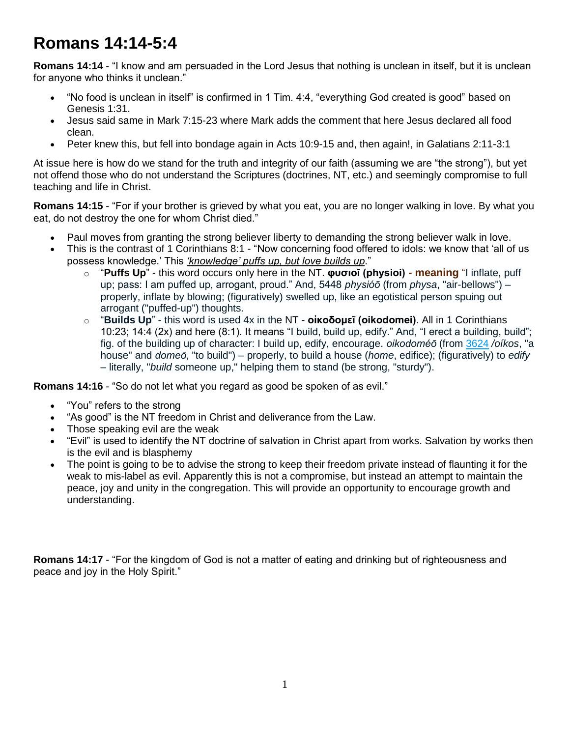## **Romans 14:14-5:4**

**Romans 14:14** - "I know and am persuaded in the Lord Jesus that nothing is unclean in itself, but it is unclean for anyone who thinks it unclean."

- "No food is unclean in itself" is confirmed in 1 Tim. 4:4, "everything God created is good" based on Genesis 1:31.
- Jesus said same in Mark 7:15-23 where Mark adds the comment that here Jesus declared all food clean.
- Peter knew this, but fell into bondage again in Acts 10:9-15 and, then again!, in Galatians 2:11-3:1

At issue here is how do we stand for the truth and integrity of our faith (assuming we are "the strong"), but yet not offend those who do not understand the Scriptures (doctrines, NT, etc.) and seemingly compromise to full teaching and life in Christ.

**Romans 14:15** - "For if your brother is grieved by what you eat, you are no longer walking in love. By what you eat, do not destroy the one for whom Christ died."

- Paul moves from granting the strong believer liberty to demanding the strong believer walk in love.
- This is the contrast of 1 Corinthians 8:1 "Now concerning food offered to idols: we know that 'all of us possess knowledge.' This *'knowledge' puffs up, but love builds up*."
	- o "**Puffs Up**" this word occurs only here in the NT. **φυσιοῖ (physioi) - meaning** "I inflate, puff up; pass: I am puffed up, arrogant, proud." And, 5448 *physióō* (from *physa*, "air-bellows") – properly, inflate by blowing; (figuratively) swelled up, like an egotistical person spuing out arrogant ("puffed-up") thoughts.
	- o "**Builds Up**" this word is used 4x in the NT **οἰκοδομεῖ (oikodomei)**. All in 1 Corinthians 10:23; 14:4 (2x) and here (8:1). It means "I build, build up, edify." And, "I erect a building, build"; fig. of the building up of character: I build up, edify, encourage. *oikodoméō* (from [3624](http://biblehub.com/greek/3624.htm) */oíkos*, "a house" and *domeō*, "to build") – properly, to build a house (*home*, edifice); (figuratively) to *edify* – literally, "*build* someone up," helping them to stand (be strong, "sturdy").

**Romans 14:16** - "So do not let what you regard as good be spoken of as evil."

- "You" refers to the strong
- "As good" is the NT freedom in Christ and deliverance from the Law.
- Those speaking evil are the weak
- "Evil" is used to identify the NT doctrine of salvation in Christ apart from works. Salvation by works then is the evil and is blasphemy
- The point is going to be to advise the strong to keep their freedom private instead of flaunting it for the weak to mis-label as evil. Apparently this is not a compromise, but instead an attempt to maintain the peace, joy and unity in the congregation. This will provide an opportunity to encourage growth and understanding.

**Romans 14:17** - "For the kingdom of God is not a matter of eating and drinking but of righteousness and peace and joy in the Holy Spirit."